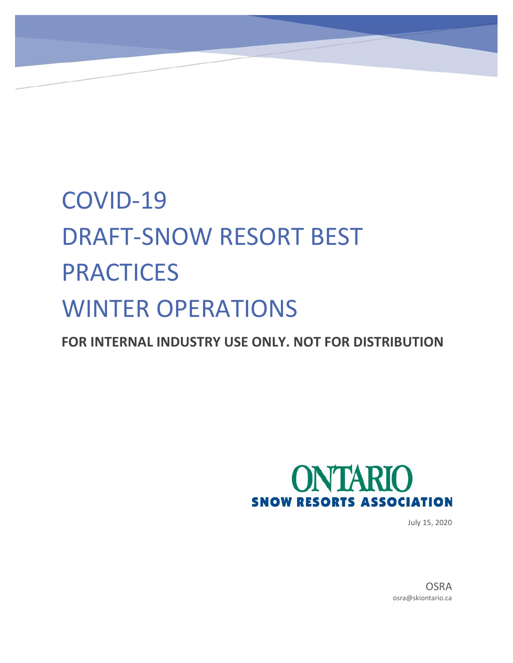# COVID-19 DRAFT-SNOW RESORT BEST PRACTICES WINTER OPERATIONS

**FOR INTERNAL INDUSTRY USE ONLY. NOT FOR DISTRIBUTION**



July 15, 2020

**OSRA** osra@skiontario.ca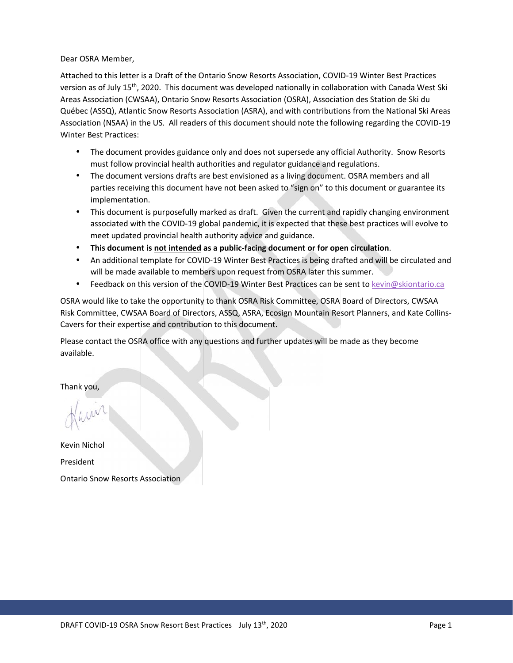Dear OSRA Member,

Attached to this letter is a Draft of the Ontario Snow Resorts Association, COVID-19 Winter Best Practices version as of July 15<sup>th</sup>, 2020. This document was developed nationally in collaboration with Canada West Ski Areas Association (CWSAA), Ontario Snow Resorts Association (OSRA), Association des Station de Ski du Québec (ASSQ), Atlantic Snow Resorts Association (ASRA), and with contributions from the National Ski Areas Association (NSAA) in the US. All readers of this document should note the following regarding the COVID-19 Winter Best Practices:

- The document provides guidance only and does not supersede any official Authority. Snow Resorts must follow provincial health authorities and regulator guidance and regulations.
- The document versions drafts are best envisioned as a living document. OSRA members and all parties receiving this document have not been asked to "sign on" to this document or guarantee its implementation.
- This document is purposefully marked as draft. Given the current and rapidly changing environment associated with the COVID-19 global pandemic, it is expected that these best practices will evolve to meet updated provincial health authority advice and guidance.
- **This document is not intended as a public-facing document or for open circulation**.
- An additional template for COVID-19 Winter Best Practices is being drafted and will be circulated and will be made available to members upon request from OSRA later this summer.
- Feedback on this version of the COVID-19 Winter Best Practices can be sent to kevin@skiontario.ca

OSRA would like to take the opportunity to thank OSRA Risk Committee, OSRA Board of Directors, CWSAA Risk Committee, CWSAA Board of Directors, ASSQ, ASRA, Ecosign Mountain Resort Planners, and Kate Collins- Cavers for their expertise and contribution to this document.

Please contact the OSRA office with any questions and further updates will be made as they become available.

Thank you,

Kevin Nichol President Ontario Snow Resorts Association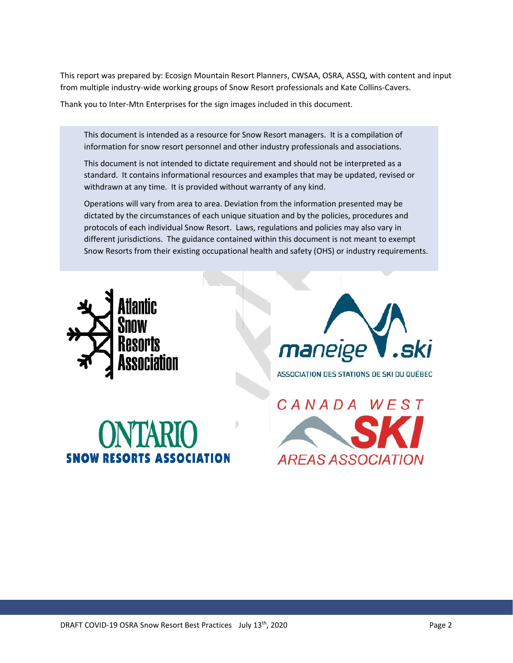This report was prepared by: Ecosign Mountain Resort Planners, CWSAA, OSRA, ASSQ, with content and input from multiple industry-wide working groups of Snow Resort professionals and Kate Collins-Cavers.

Thank you to Inter-Mtn Enterprises for the sign images included in this document.

This document is intended as a resource for Snow Resort managers. It is a compilation of information for snow resort personnel and other industry professionals and associations.

This document is not intended to dictate requirement and should not be interpreted as a standard. It contains informational resources and examples that may be updated, revised or withdrawn at any time. It is provided without warranty of any kind.

Operations will vary from area to area. Deviation from the information presented may be dictated by the circumstances of each unique situation and by the policies, procedures and protocols of each individual Snow Resort. Laws, regulations and policies may also vary in different jurisdictions. The guidance contained within this document is not meant to exempt Snow Resorts from their existing occupational health and safety (OHS) or industry requirements.





# **SNOW RESORTS ASSOCIATION**

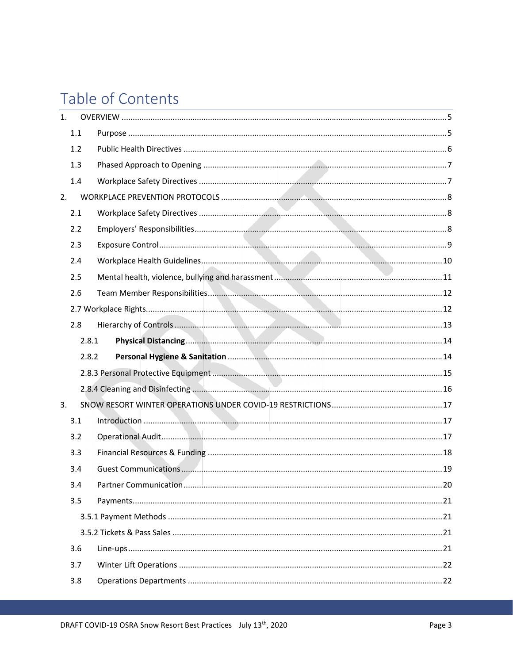# Table of Contents

| 1. |     |       |  |
|----|-----|-------|--|
|    | 1.1 |       |  |
|    | 1.2 |       |  |
|    | 1.3 |       |  |
|    | 1.4 |       |  |
| 2. |     |       |  |
|    | 2.1 |       |  |
|    | 2.2 |       |  |
|    | 2.3 |       |  |
|    | 2.4 |       |  |
|    | 2.5 |       |  |
|    | 2.6 |       |  |
|    |     |       |  |
|    | 2.8 |       |  |
|    |     | 2.8.1 |  |
|    |     | 2.8.2 |  |
|    |     |       |  |
|    |     |       |  |
|    |     |       |  |
| 3. |     |       |  |
|    | 3.1 |       |  |
|    | 3.2 |       |  |
|    | 3.3 |       |  |
|    | 3.4 |       |  |
|    | 3.4 |       |  |
|    | 3.5 |       |  |
|    |     |       |  |
|    |     |       |  |
|    | 3.6 |       |  |
|    | 3.7 |       |  |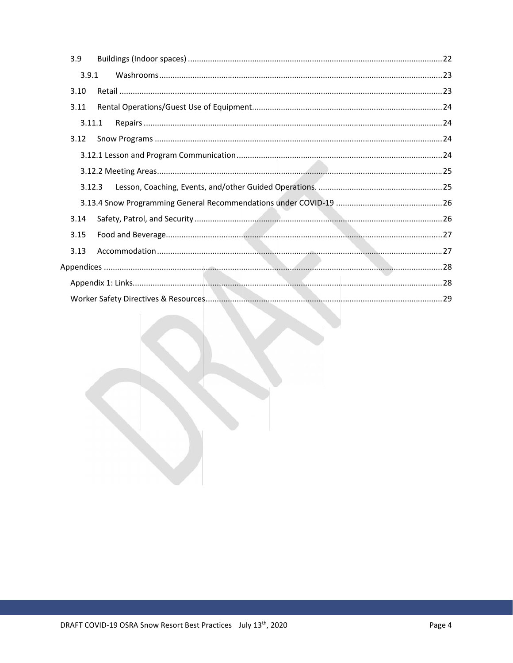| 3.9    |  |
|--------|--|
| 3.9.1  |  |
| 3.10   |  |
| 3.11   |  |
| 3.11.1 |  |
| 3.12   |  |
|        |  |
|        |  |
| 3.12.3 |  |
|        |  |
| 3.14   |  |
| 3.15   |  |
| 3.13   |  |
|        |  |
|        |  |
|        |  |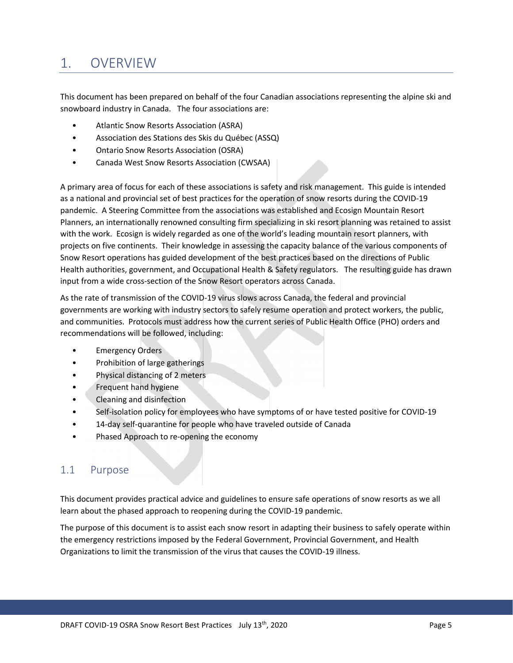# 1. OVERVIEW

This document has been prepared on behalf of the four Canadian associations representing the alpine ski and snowboard industry in Canada. The four associations are:

- Atlantic Snow Resorts Association (ASRA)
- Association des Stations des Skis du Québec (ASSQ)
- Ontario Snow Resorts Association (OSRA)
- Canada West Snow Resorts Association (CWSAA)

A primary area of focus for each of these associations is safety and risk management. This guide is intended as a national and provincial set of best practices for the operation of snow resorts during the COVID-19 pandemic. A Steering Committee from the associations was established and Ecosign Mountain Resort Planners, an internationally renowned consulting firm specializing in ski resort planning was retained to assist with the work. Ecosign is widely regarded as one of the world's leading mountain resort planners, with projects on five continents. Their knowledge in assessing the capacity balance of the various components of Snow Resort operations has guided development of the best practices based on the directions of Public Health authorities, government, and Occupational Health & Safety regulators. The resulting guide has drawn input from a wide cross-section of the Snow Resort operators across Canada.

As the rate of transmission of the COVID-19 virus slows across Canada, the federal and provincial governments are working with industry sectors to safely resume operation and protect workers, the public, and communities. Protocols must address how the current series of Public Health Office (PHO) orders and recommendations will be followed, including:

- **Emergency Orders**
- Prohibition of large gatherings
- Physical distancing of 2 meters
- Frequent hand hygiene
- Cleaning and disinfection
- Self-isolation policy for employees who have symptoms of or have tested positive for COVID-19
- 14-day self-quarantine for people who have traveled outside of Canada
- Phased Approach to re-opening the economy

#### 1.1 Purpose

This document provides practical advice and guidelines to ensure safe operations of snow resorts as we all learn about the phased approach to reopening during the COVID-19 pandemic.

The purpose of this document is to assist each snow resort in adapting their business to safely operate within the emergency restrictions imposed by the Federal Government, Provincial Government, and Health Organizations to limit the transmission of the virus that causes the COVID-19 illness.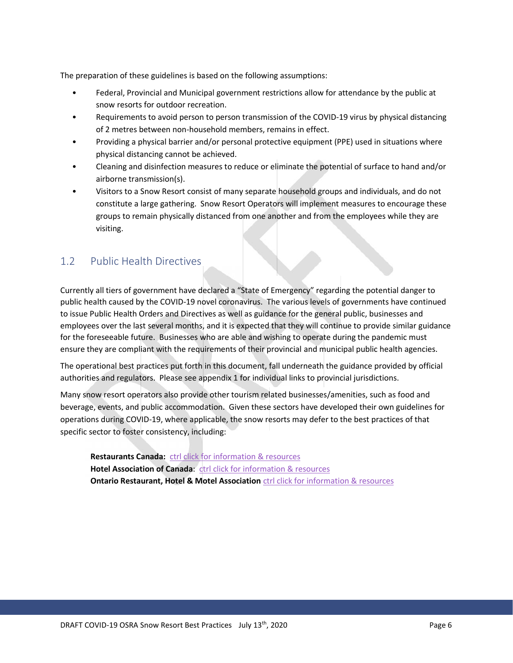The preparation of these guidelines is based on the following assumptions:

- Federal, Provincial and Municipal government restrictions allow for attendance by the public at snow resorts for outdoor recreation.
- Requirements to avoid person to person transmission of the COVID-19 virus by physical distancing of 2 metres between non-household members, remains in effect.
- Providing a physical barrier and/or personal protective equipment (PPE) used in situations where physical distancing cannot be achieved.
- Cleaning and disinfection measures to reduce or eliminate the potential of surface to hand and/or airborne transmission(s).
- Visitors to a Snow Resort consist of many separate household groups and individuals, and do not constitute a large gathering. Snow Resort Operators will implement measures to encourage these groups to remain physically distanced from one another and from the employees while they are visiting.

#### 1.2 Public Health Directives

Currently all tiers of government have declared a "State of Emergency" regarding the potential danger to public health caused by the COVID-19 novel coronavirus. The various levels of governments have continued to issue Public Health Orders and Directives as well as guidance for the general public, businesses and employees over the last several months, and it is expected that they will continue to provide similar guidance for the foreseeable future. Businesses who are able and wishing to operate during the pandemic must ensure they are compliant with the requirements of their provincial and municipal public health agencies.

The operational best practices put forth in this document, fall underneath the guidance provided by official authorities and regulators. Please see appendix 1 for individual links to provincial jurisdictions.

Many snow resort operators also provide other tourism related businesses/amenities, such as food and beverage, events, and public accommodation. Given these sectors have developed their own guidelines for operations during COVID-19, where applicable, the snow resorts may defer to the best practices of that specific sector to foster consistency, including:

**Restaurants Canada:** ctrl click for information & resources **Hotel Association of Canada**: ctrl click for information & resources **Ontario Restaurant, Hotel & Motel Association** ctrl click for information & resources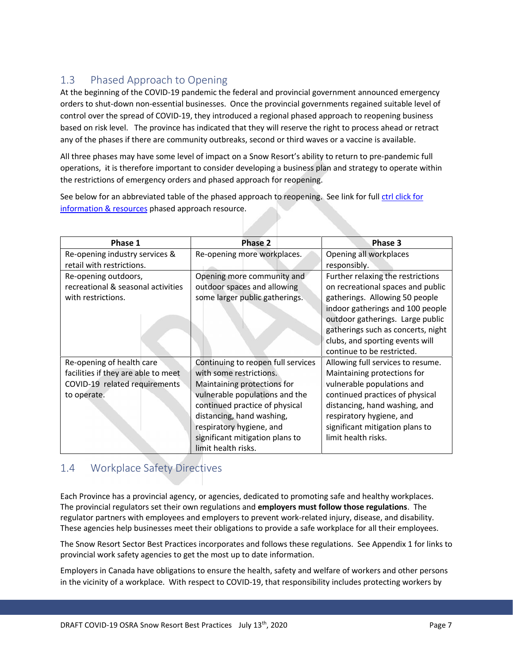#### 1.3 Phased Approach to Opening

At the beginning of the COVID-19 pandemic the federal and provincial government announced emergency orders to shut-down non-essential businesses. Once the provincial governments regained suitable level of control over the spread of COVID-19, they introduced a regional phased approach to reopening business based on risk level. The province has indicated that they will reserve the right to process ahead or retract any of the phases if there are community outbreaks, second or third waves or a vaccine is available.

All three phases may have some level of impact on a Snow Resort's ability to return to pre-pandemic full operations, it is therefore important to consider developing a business plan and strategy to operate within the restrictions of emergency orders and phased approach for reopening.

See below for an abbreviated table of the phased approach to reopening. See link for full ctrl click for information & resources phased approach resource.

| Phase 1                             | Phase 2                            | Phase 3                            |
|-------------------------------------|------------------------------------|------------------------------------|
| Re-opening industry services &      | Re-opening more workplaces.        | Opening all workplaces             |
| retail with restrictions.           |                                    | responsibly.                       |
| Re-opening outdoors,                | Opening more community and         | Further relaxing the restrictions  |
| recreational & seasonal activities  | outdoor spaces and allowing        | on recreational spaces and public  |
| with restrictions.                  | some larger public gatherings.     | gatherings. Allowing 50 people     |
|                                     |                                    | indoor gatherings and 100 people   |
|                                     |                                    | outdoor gatherings. Large public   |
|                                     |                                    | gatherings such as concerts, night |
|                                     |                                    | clubs, and sporting events will    |
|                                     |                                    | continue to be restricted.         |
| Re-opening of health care           | Continuing to reopen full services | Allowing full services to resume.  |
| facilities if they are able to meet | with some restrictions.            | Maintaining protections for        |
| COVID-19 related requirements       | Maintaining protections for        | vulnerable populations and         |
| to operate.                         | vulnerable populations and the     | continued practices of physical    |
|                                     | continued practice of physical     | distancing, hand washing, and      |
|                                     | distancing, hand washing,          | respiratory hygiene, and           |
|                                     | respiratory hygiene, and           | significant mitigation plans to    |
|                                     | significant mitigation plans to    | limit health risks.                |
|                                     | limit health risks.                |                                    |

#### 1.4 Workplace Safety Directives

Each Province has a provincial agency, or agencies, dedicated to promoting safe and healthy workplaces. The provincial regulators set their own regulations and **employers must follow those regulations**. The regulator partners with employees and employers to prevent work-related injury, disease, and disability. These agencies help businesses meet their obligations to provide a safe workplace for all their employees.

The Snow Resort Sector Best Practices incorporates and follows these regulations. See Appendix 1 for links to provincial work safety agencies to get the most up to date information.

Employers in Canada have obligations to ensure the health, safety and welfare of workers and other persons in the vicinity of a workplace. With respect to COVID-19, that responsibility includes protecting workers by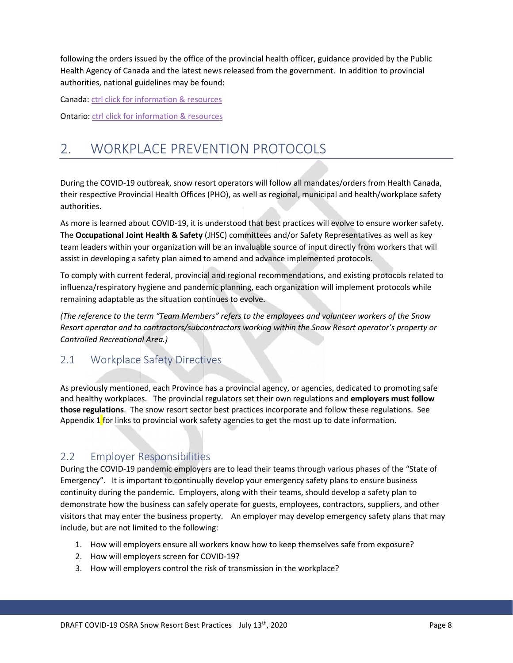following the orders issued by the office of the provincial health officer, guidance provided by the Public Health Agency of Canada and the latest news released from the government. In addition to provincial authorities, national guidelines may be found:

Canada: ctrl click for information & resources

Ontario: ctrl click for information & resources

# 2. WORKPLACE PREVENTION PROTOCOLS

During the COVID-19 outbreak, snow resort operators will follow all mandates/orders from Health Canada, their respective Provincial Health Offices (PHO), as well as regional, municipal and health/workplace safety authorities.

As more is learned about COVID-19, it is understood that best practices will evolve to ensure worker safety. The **Occupational Joint Health & Safety** (JHSC) committees and/or Safety Representatives as well as key team leaders within your organization will be an invaluable source of input directly from workers that will assist in developing a safety plan aimed to amend and advance implemented protocols.

To comply with current federal, provincial and regional recommendations, and existing protocols related to influenza/respiratory hygiene and pandemic planning, each organization will implement protocols while remaining adaptable as the situation continues to evolve.

*(The reference to the term "Team Members" refers to the employees and volunteer workers of the Snow Resort operator and to contractors/subcontractors working within the Snow Resort operator's property or Controlled Recreational Area.)*

#### 2.1 Workplace Safety Directives

As previously mentioned, each Province has a provincial agency, or agencies, dedicated to promoting safe and healthy workplaces. The provincial regulators set their own regulations and **employers must follow those regulations**. The snow resort sector best practices incorporate and follow these regulations. See Appendix 1 for links to provincial work safety agencies to get the most up to date information.

#### 2.2 Employer Responsibilities

During the COVID-19 pandemic employers are to lead their teams through various phases of the "State of Emergency". It is important to continually develop your emergency safety plans to ensure business continuity during the pandemic. Employers, along with their teams, should develop a safety plan to demonstrate how the business can safely operate for guests, employees, contractors, suppliers, and other visitors that may enter the business property. An employer may develop emergency safety plans that may include, but are not limited to the following:

- 1. How will employers ensure all workers know how to keep themselves safe from exposure?
- 2. How will employers screen for COVID-19?
- 3. How will employers control the risk of transmission in the workplace?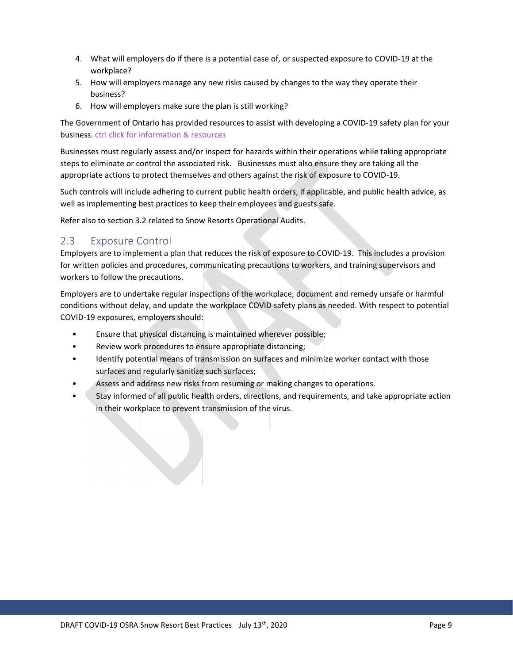- 4. What will employers do if there is a potential case of, or suspected exposure to COVID-19 at the workplace?
- 5. How will employers manage any new risks caused by changes to the way they operate their business?
- 6. How will employers make sure the plan is still working?

The Government of Ontario has provided resources to assist with developing a COVID-19 safety plan for your business. ctrl click for information & resources

Businesses must regularly assess and/or inspect for hazards within their operations while taking appropriate steps to eliminate or control the associated risk. Businesses must also ensure they are taking all the appropriate actions to protect themselves and others against the risk of exposure to COVID-19.

Such controls will include adhering to current public health orders, if applicable, and public health advice, as well as implementing best practices to keep their employees and guests safe.

Refer also to section 3.2 related to Snow Resorts Operational Audits.

#### 2.3 Exposure Control

Employers are to implement a plan that reduces the risk of exposure to COVID-19. This includes a provision for written policies and procedures, communicating precautions to workers, and training supervisors and workers to follow the precautions.

Employers are to undertake regular inspections of the workplace, document and remedy unsafe or harmful conditions without delay, and update the workplace COVID safety plans as needed. With respect to potential COVID-19 exposures, employers should:

- Ensure that physical distancing is maintained wherever possible;
- Review work procedures to ensure appropriate distancing;
- Identify potential means of transmission on surfaces and minimize worker contact with those surfaces and regularly sanitize such surfaces;
- Assess and address new risks from resuming or making changes to operations.
- Stay informed of all public health orders, directions, and requirements, and take appropriate action in their workplace to prevent transmission of the virus.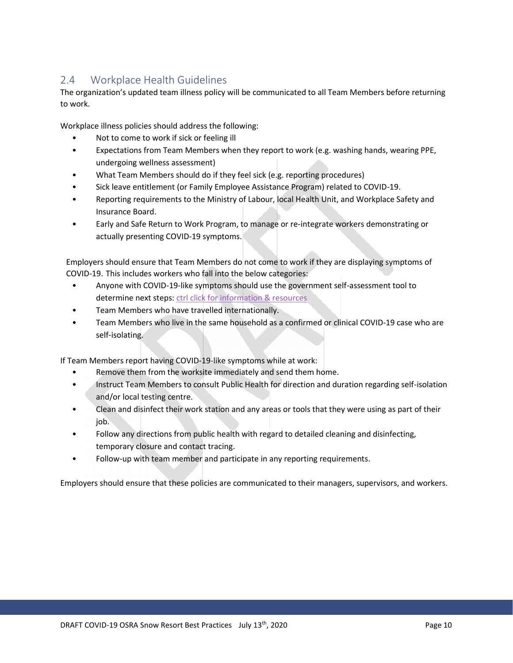#### 2.4 Workplace Health Guidelines

The organization's updated team illness policy will be communicated to all Team Members before returning to work.

Workplace illness policies should address the following:

- Not to come to work if sick or feeling ill
- Expectations from Team Members when they report to work (e.g. washing hands, wearing PPE, undergoing wellness assessment)
- What Team Members should do if they feel sick (e.g. reporting procedures)
- Sick leave entitlement (or Family Employee Assistance Program) related to COVID-19.
- Reporting requirements to the Ministry of Labour, local Health Unit, and Workplace Safety and Insurance Board.
- Early and Safe Return to Work Program, to manage or re-integrate workers demonstrating or actually presenting COVID-19 symptoms.

Employers should ensure that Team Members do not come to work if they are displaying symptoms of COVID-19. This includes workers who fall into the below categories:

- Anyone with COVID‐19-like symptoms should use the government self-assessment tool to determine next steps: ctrl click for information & resources
- Team Members who have travelled internationally.
- Team Members who live in the same household as a confirmed or clinical COVID-19 case who are self-isolating.

If Team Members report having COVID-19-like symptoms while at work:

- Remove them from the worksite immediately and send them home.
- Instruct Team Members to consult Public Health for direction and duration regarding self-isolation and/or local testing centre.
- Clean and disinfect their work station and any areas or tools that they were using as part of their job.
- Follow any directions from public health with regard to detailed cleaning and disinfecting, temporary closure and contact tracing.
- Follow-up with team member and participate in any reporting requirements.

Employers should ensure that these policies are communicated to their managers, supervisors, and workers.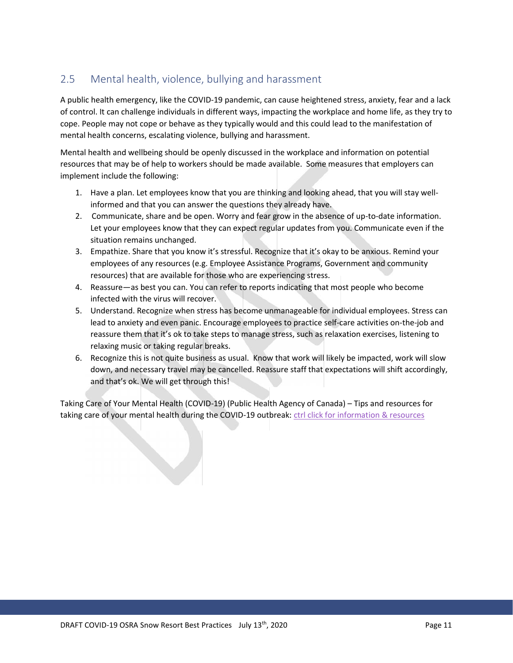#### 2.5 Mental health, violence, bullying and harassment

A public health emergency, like the COVID-19 pandemic, can cause heightened stress, anxiety, fear and a lack of control. It can challenge individuals in different ways, impacting the workplace and home life, as they try to cope. People may not cope or behave as they typically would and this could lead to the manifestation of mental health concerns, escalating violence, bullying and harassment.

Mental health and wellbeing should be openly discussed in the workplace and information on potential resources that may be of help to workers should be made available. Some measures that employers can implement include the following:

- 1. Have a plan. Let employees know that you are thinking and looking ahead, that you will stay wellinformed and that you can answer the questions they already have.
- 2. Communicate, share and be open. Worry and fear grow in the absence of up-to-date information. Let your employees know that they can expect regular updates from you. Communicate even if the situation remains unchanged.
- 3. Empathize. Share that you know it's stressful. Recognize that it's okay to be anxious. Remind your employees of any resources (e.g. Employee Assistance Programs, Government and community resources) that are available for those who are experiencing stress.
- 4. Reassure—as best you can. You can refer to reports indicating that most people who become infected with the virus will recover.
- 5. Understand. Recognize when stress has become unmanageable for individual employees. Stress can lead to anxiety and even panic. Encourage employees to practice self-care activities on-the-job and reassure them that it's ok to take steps to manage stress, such as relaxation exercises, listening to relaxing music or taking regular breaks.
- 6. Recognize this is not quite business as usual. Know that work will likely be impacted, work will slow down, and necessary travel may be cancelled. Reassure staff that expectations will shift accordingly, and that's ok. We will get through this!

Taking Care of Your Mental Health (COVID-19) (Public Health Agency of Canada) – Tips and resources for taking care of your mental health during the COVID-19 outbreak: ctrl click for information & resources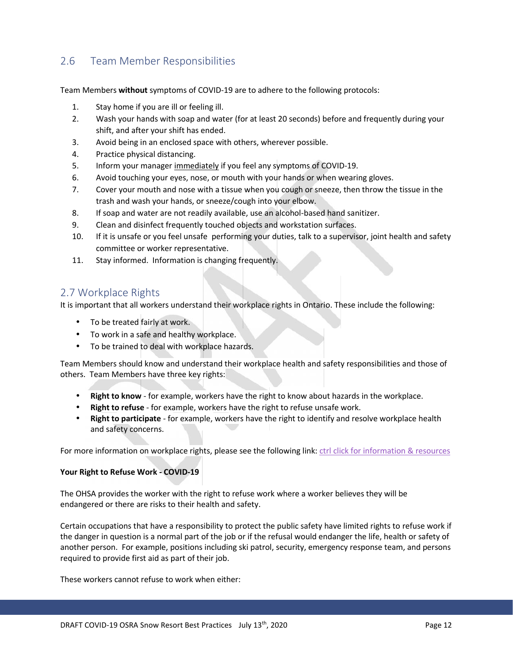#### 2.6 Team Member Responsibilities

Team Members **without** symptoms of COVID-19 are to adhere to the following protocols:

- 1. Stay home if you are ill or feeling ill.
- 2. Wash your hands with soap and water (for at least 20 seconds) before and frequently during your shift, and after your shift has ended.
- 3. Avoid being in an enclosed space with others, wherever possible.
- 4. Practice physical distancing.
- 5. Inform your manager immediately if you feel any symptoms of COVID-19.
- 6. Avoid touching your eyes, nose, or mouth with your hands or when wearing gloves.
- 7. Cover your mouth and nose with a tissue when you cough or sneeze, then throw the tissue in the trash and wash your hands, or sneeze/cough into your elbow.
- 8. If soap and water are not readily available, use an alcohol-based hand sanitizer.
- 9. Clean and disinfect frequently touched objects and workstation surfaces.
- 10. If it is unsafe or you feel unsafe performing your duties, talk to a supervisor, joint health and safety committee or worker representative.
- 11. Stay informed. Information is changing frequently.

#### 2.7 Workplace Rights

It is important that all workers understand their workplace rights in Ontario. These include the following:

- To be treated fairly at work.
- To work in a safe and healthy workplace.
- To be trained to deal with workplace hazards.

Team Members should know and understand their workplace health and safety responsibilities and those of others. Team Members have three key rights:

**Right to know** - for example, workers have the right to know about hazards in the workplace.

- **Right to refuse** for example, workers have the right to refuse unsafe work.
- **Right to participate** for example, workers have the right to identify and resolve workplace health and safety concerns.

For more information on workplace rights, please see the following link: ctrl click for information & resources

#### **Your Right to Refuse Work - COVID-19**

The OHSA provides the worker with the right to refuse work where a worker believes they will be endangered or there are risks to their health and safety.

Certain occupations that have a responsibility to protect the public safety have limited rights to refuse work if the danger in question is a normal part of the job or if the refusal would endanger the life, health or safety of another person. For example, positions including ski patrol, security, emergency response team, and persons required to provide first aid as part of their job.

These workers cannot refuse to work when either: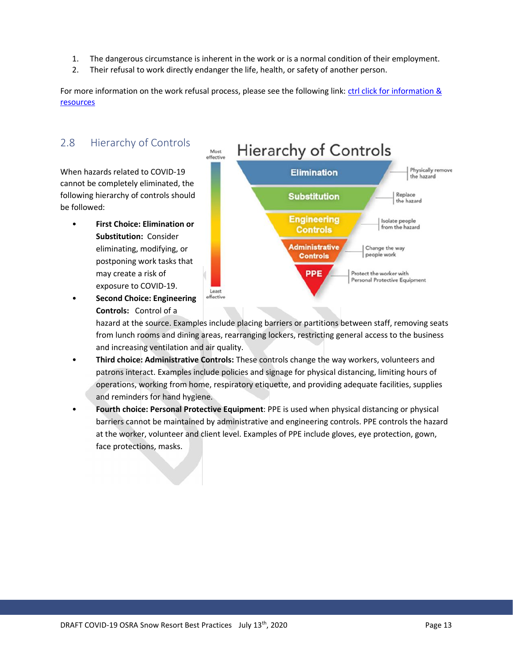- 1. The dangerous circumstance is inherent in the work or is a normal condition of their employment.
- 2. Their refusal to work directly endanger the life, health, or safety of another person.

For more information on the work refusal process, please see the following link: ctrl click for information & resources

# 2.8 Hierarchy of Controls

When hazards related to COVID-19 cannot be completely eliminated, the following hierarchy of controls should be followed:

• **First Choice: Elimination or Substitution:** Consider eliminating, modifying, or postponing work tasks that may create a risk of exposure to COVID-19.



**Second Choice: Engineering** *effective* **Controls:** Control of a

> hazard at the source. Examples include placing barriers or partitions between staff, removing seats from lunch rooms and dining areas, rearranging lockers, restricting general access to the business and increasing ventilation and air quality.

- **Third choice: Administrative Controls:** These controls change the way workers, volunteers and patrons interact. Examples include policies and signage for physical distancing, limiting hours of operations, working from home, respiratory etiquette, and providing adequate facilities, supplies and reminders for hand hygiene.
- **Fourth choice: Personal Protective Equipment**: PPE is used when physical distancing or physical barriers cannot be maintained by administrative and engineering controls. PPE controls the hazard at the worker, volunteer and client level. Examples of PPE include gloves, eye protection, gown, face protections, masks.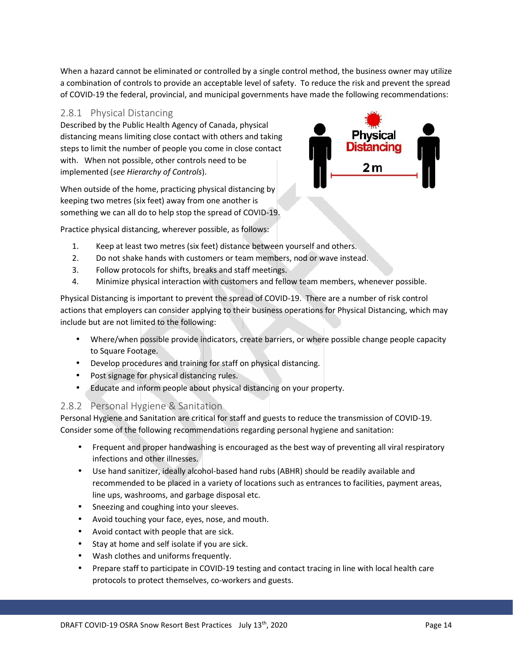When a hazard cannot be eliminated or controlled by a single control method, the business owner may utilize a combination of controls to provide an acceptable level of safety. To reduce the risk and prevent the spread of COVID-19 the federal, provincial, and municipal governments have made the following recommendations:

#### 2.8.1 **Physical Distancing**

Described by the Public Health Agency of Canada, physical distancing means limiting close contact with others and taking steps to limit the number of people you come in close contact with. When not possible, other controls need to be implemented (*see Hierarchy of Controls*).

When outside of the home, practicing physical distancing by keeping two metres (six feet) away from one another is something we can all do to help stop the spread of COVID-19.



Practice physical distancing, wherever possible, as follows:

- 1. Keep at least two metres (six feet) distance between yourself and others.
- 2. Do not shake hands with customers or team members, nod or wave instead.
- 3. Follow protocols for shifts, breaks and staff meetings.
- 4. Minimize physical interaction with customers and fellow team members, whenever possible.

Physical Distancing is important to prevent the spread of COVID-19. There are a number of risk control actions that employers can consider applying to their business operations for Physical Distancing, which may include but are not limited to the following:

- Where/when possible provide indicators, create barriers, or where possible change people capacity to Square Footage.
- Develop procedures and training for staff on physical distancing.
- Post signage for physical distancing rules.
- Educate and inform people about physical distancing on your property.

#### 2.8.2 **Personal Hygiene & Sanitation**

Personal Hygiene and Sanitation are critical for staff and guests to reduce the transmission of COVID-19. Consider some of the following recommendations regarding personal hygiene and sanitation:

- Frequent and proper handwashing is encouraged as the best way of preventing all viral respiratory infections and other illnesses.
- Use hand sanitizer, ideally alcohol-based hand rubs (ABHR) should be readily available and recommended to be placed in a variety of locations such as entrances to facilities, payment areas, line ups, washrooms, and garbage disposal etc.
- Sneezing and coughing into your sleeves.
- Avoid touching your face, eyes, nose, and mouth.
- Avoid contact with people that are sick.
- Stay at home and self isolate if you are sick.
- Wash clothes and uniforms frequently.
- Prepare staff to participate in COVID-19 testing and contact tracing in line with local health care protocols to protect themselves, co-workers and guests.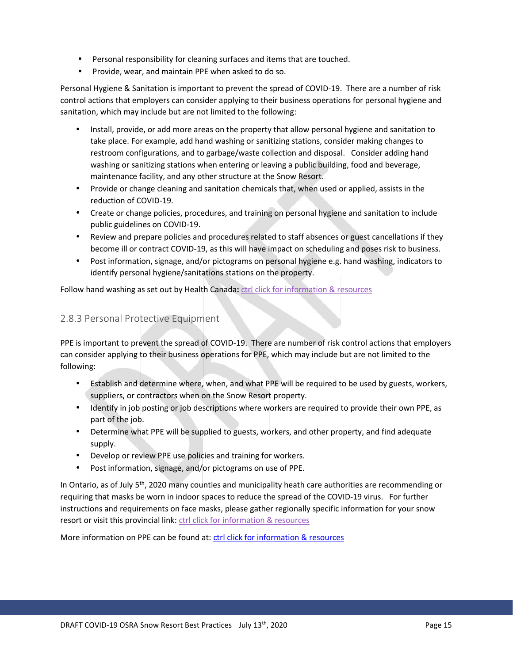- Personal responsibility for cleaning surfaces and items that are touched.
- $\int$  Provide, wear, and maintain PPE when asked to do so.

Personal Hygiene & Sanitation is important to prevent the spread of COVID-19. There are a number of risk control actions that employers can consider applying to their business operations for personal hygiene and sanitation, which may include but are not limited to the following:

- Install, provide, or add more areas on the property that allow personal hygiene and sanitation to take place. For example, add hand washing or sanitizing stations, consider making changes to restroom configurations, and to garbage/waste collection and disposal. Consider adding hand washing or sanitizing stations when entering or leaving a public building, food and beverage, maintenance facility, and any other structure at the Snow Resort.
- Provide or change cleaning and sanitation chemicals that, when used or applied, assists in the reduction of COVID-19.
- Create or change policies, procedures, and training on personal hygiene and sanitation to include public guidelines on COVID-19.
- Review and prepare policies and procedures related to staff absences or guest cancellations if they become ill or contract COVID-19, as this will have impact on scheduling and poses risk to business.
- Post information, signage, and/or pictograms on personal hygiene e.g. hand washing, indicators to identify personal hygiene/sanitations stations on the property.

Follow hand washing as set out by Health Canada**:** ctrl click for information & resources

#### 2.8.3 Personal Protective Equipment

PPE is important to prevent the spread of COVID-19. There are number of risk control actions that employers can consider applying to their business operations for PPE, which may include but are not limited to the following:

- Establish and determine where, when, and what PPE will be required to be used by guests, workers, suppliers, or contractors when on the Snow Resort property.
- Identify in job posting or job descriptions where workers are required to provide their own PPE, as part of the job.
- Determine what PPE will be supplied to guests, workers, and other property, and find adequate supply.
- Develop or review PPE use policies and training for workers.
- Post information, signage, and/or pictograms on use of PPE.

In Ontario, as of July 5<sup>th</sup>, 2020 many counties and municipality heath care authorities are recommending or requiring that masks be worn in indoor spaces to reduce the spread of the COVID-19 virus. For further instructions and requirements on face masks, please gather regionally specific information for your snow resort or visit this provincial link: ctrl click for information & resources

More information on PPE can be found at: ctrl click for information & resources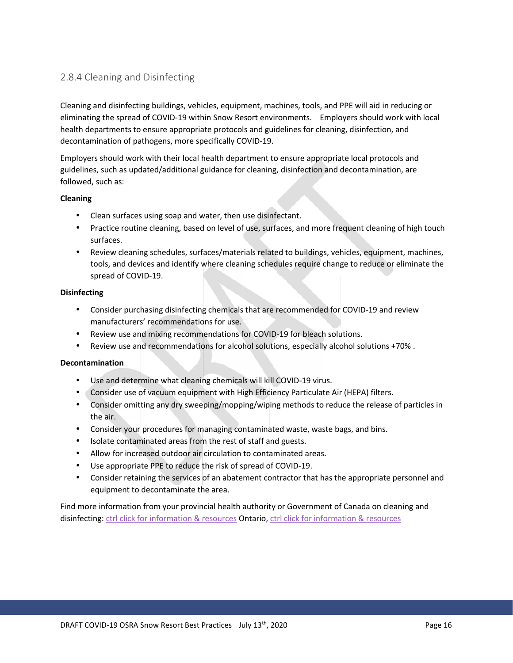#### 2.8.4 Cleaning and Disinfecting

Cleaning and disinfecting buildings, vehicles, equipment, machines, tools, and PPE will aid in reducing or eliminating the spread of COVID-19 within Snow Resort environments. Employers should work with local health departments to ensure appropriate protocols and guidelines for cleaning, disinfection, and decontamination of pathogens, more specifically COVID-19.

Employers should work with their local health department to ensure appropriate local protocols and guidelines, such as updated/additional guidance for cleaning, disinfection and decontamination, are followed, such as:

#### **Cleaning**

- Clean surfaces using soap and water, then use disinfectant.
- Practice routine cleaning, based on level of use, surfaces, and more frequent cleaning of high touch surfaces.
- Review cleaning schedules, surfaces/materials related to buildings, vehicles, equipment, machines, tools, and devices and identify where cleaning schedules require change to reduce or eliminate the spread of COVID-19.

#### **Disinfecting**

- Consider purchasing disinfecting chemicals that are recommended for COVID-19 and review manufacturers' recommendations for use.
- Review use and mixing recommendations for COVID-19 for bleach solutions.
- Review use and recommendations for alcohol solutions, especially alcohol solutions +70% .

#### **Decontamination**

- Use and determine what cleaning chemicals will kill COVID-19 virus.
- Consider use of vacuum equipment with High Efficiency Particulate Air (HEPA) filters.
- Consider omitting any dry sweeping/mopping/wiping methods to reduce the release of particles in the air.
- Consider your procedures for managing contaminated waste, waste bags, and bins.
- $\int$  Isolate contaminated areas from the rest of staff and guests.
- Allow for increased outdoor air circulation to contaminated areas.
- Use appropriate PPE to reduce the risk of spread of COVID-19.
- Consider retaining the services of an abatement contractor that has the appropriate personnel and equipment to decontaminate the area.

Find more information from your provincial health authority or Government of Canada on cleaning and disinfecting: ctrl click for information & resources Ontario, ctrl click for information & resources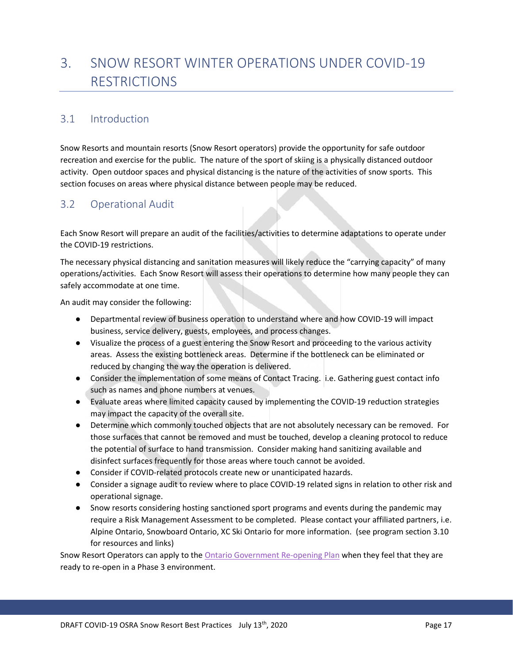# 3. SNOW RESORT WINTER OPERATIONS UNDER COVID-19 RESTRICTIONS

#### 3.1 Introduction

Snow Resorts and mountain resorts (Snow Resort operators) provide the opportunity for safe outdoor recreation and exercise for the public. The nature of the sport of skiing is a physically distanced outdoor activity. Open outdoor spaces and physical distancing is the nature of the activities of snow sports. This section focuses on areas where physical distance between people may be reduced.

#### 3.2 Operational Audit

Each Snow Resort will prepare an audit of the facilities/activities to determine adaptations to operate under the COVID-19 restrictions.

The necessary physical distancing and sanitation measures will likely reduce the "carrying capacity" of many operations/activities. Each Snow Resort will assess their operations to determine how many people they can safely accommodate at one time.

An audit may consider the following:

Departmental review of business operation to understand where and how COVID-19 will impact business, service delivery, guests, employees, and process changes.

Visualize the process of a guest entering the Snow Resort and proceeding to the various activity areas. Assess the existing bottleneck areas. Determine if the bottleneck can be eliminated or reduced by changing the way the operation is delivered.

Consider the implementation of some means of Contact Tracing. i.e. Gathering guest contact info such as names and phone numbers at venues.

Evaluate areas where limited capacity caused by implementing the COVID-19 reduction strategies may impact the capacity of the overall site.

Determine which commonly touched objects that are not absolutely necessary can be removed. For those surfaces that cannot be removed and must be touched, develop a cleaning protocol to reduce the potential of surface to hand transmission. Consider making hand sanitizing available and disinfect surfaces frequently for those areas where touch cannot be avoided.

Consider if COVID-related protocols create new or unanticipated hazards.

Consider a signage audit to review where to place COVID-19 related signs in relation to other risk and operational signage.

Snow resorts considering hosting sanctioned sport programs and events during the pandemic may require a Risk Management Assessment to be completed. Please contact your affiliated partners, i.e. Alpine Ontario, Snowboard Ontario, XC Ski Ontario for more information. (see program section 3.10 for resources and links)

Snow Resort Operators can apply to the Ontario Government Re-opening Plan when they feel that they are ready to re-open in a Phase 3 environment.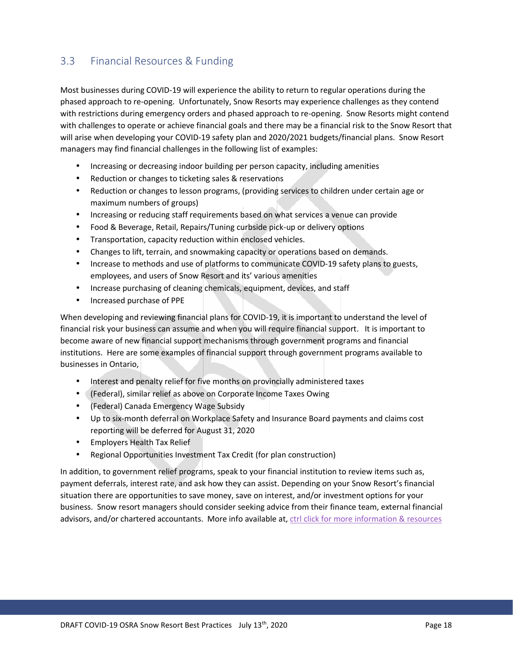#### 3.3 Financial Resources & Funding

Most businesses during COVID-19 will experience the ability to return to regular operations during the phased approach to re-opening. Unfortunately, Snow Resorts may experience challenges as they contend with restrictions during emergency orders and phased approach to re-opening. Snow Resorts might contend with challenges to operate or achieve financial goals and there may be a financial risk to the Snow Resort that will arise when developing your COVID-19 safety plan and 2020/2021 budgets/financial plans. Snow Resort managers may find financial challenges in the following list of examples:

- Increasing or decreasing indoor building per person capacity, including amenities
- Reduction or changes to ticketing sales & reservations
- Reduction or changes to lesson programs, (providing services to children under certain age or maximum numbers of groups)
- Increasing or reducing staff requirements based on what services a venue can provide
- Food & Beverage, Retail, Repairs/Tuning curbside pick-up or delivery options
- Transportation, capacity reduction within enclosed vehicles.
- Changes to lift, terrain, and snowmaking capacity or operations based on demands.
- Increase to methods and use of platforms to communicate COVID-19 safety plans to guests, employees, and users of Snow Resort and its' various amenities
- Increase purchasing of cleaning chemicals, equipment, devices, and staff
- Increased purchase of PPE

When developing and reviewing financial plans for COVID-19, it is important to understand the level of financial risk your business can assume and when you will require financial support. It is important to become aware of new financial support mechanisms through government programs and financial institutions. Here are some examples of financial support through government programs available to businesses in Ontario,

- Interest and penalty relief for five months on provincially administered taxes
- (Federal), similar relief as above on Corporate Income Taxes Owing
- (Federal) Canada Emergency Wage Subsidy
- Up to six-month deferral on Workplace Safety and Insurance Board payments and claims cost reporting will be deferred for August 31, 2020
- Employers Health Tax Relief
- Regional Opportunities Investment Tax Credit (for plan construction)

In addition, to government relief programs, speak to your financial institution to review items such as, payment deferrals, interest rate, and ask how they can assist. Depending on your Snow Resort's financial situation there are opportunities to save money, save on interest, and/or investment options for your business. Snow resort managers should consider seeking advice from their finance team, external financial advisors, and/or chartered accountants. More info available at, ctrl click for more information & resources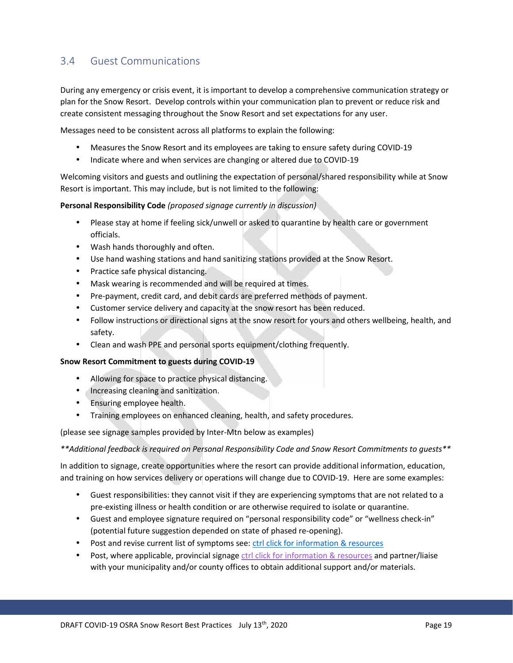#### 3.4 Guest Communications

During any emergency or crisis event, it is important to develop a comprehensive communication strategy or plan for the Snow Resort. Develop controls within your communication plan to prevent or reduce risk and create consistent messaging throughout the Snow Resort and set expectations for any user.

Messages need to be consistent across all platforms to explain the following:

- Measures the Snow Resort and its employees are taking to ensure safety during COVID-19
- Indicate where and when services are changing or altered due to COVID-19

Welcoming visitors and guests and outlining the expectation of personal/shared responsibility while at Snow Resort is important. This may include, but is not limited to the following:

**Personal Responsibility Code** *(proposed signage currently in discussion)*

- Please stay at home if feeling sick/unwell or asked to quarantine by health care or government officials.
- Wash hands thoroughly and often.
- Use hand washing stations and hand sanitizing stations provided at the Snow Resort.
- Practice safe physical distancing.
- Mask wearing is recommended and will be required at times.
- Pre-payment, credit card, and debit cards are preferred methods of payment.
- Customer service delivery and capacity at the snow resort has been reduced.
- Follow instructions or directional signs at the snow resort for yours and others wellbeing, health, and safety.
- Clean and wash PPE and personal sports equipment/clothing frequently.

#### **Snow Resort Commitment to guests during COVID-19**

- Allowing for space to practice physical distancing.
- Increasing cleaning and sanitization.
- Ensuring employee health.
- Training employees on enhanced cleaning, health, and safety procedures.

(please see signage samples provided by Inter-Mtn below as examples)

*\*\*Additional feedback is required on Personal Responsibility Code and Snow Resort Commitments to guests\*\**

In addition to signage, create opportunities where the resort can provide additional information, education, and training on how services delivery or operations will change due to COVID-19. Here are some examples:

- Guest responsibilities: they cannot visit if they are experiencing symptoms that are not related to a pre-existing illness or health condition or are otherwise required to isolate or quarantine.
- Guest and employee signature required on "personal responsibility code" or "wellness check-in" (potential future suggestion depended on state of phased re-opening).
- Post and revise current list of symptoms see: ctrl click for information & resources
- Post, where applicable, provincial signage ctrl click for information & resources and partner/liaise with your municipality and/or county offices to obtain additional support and/or materials.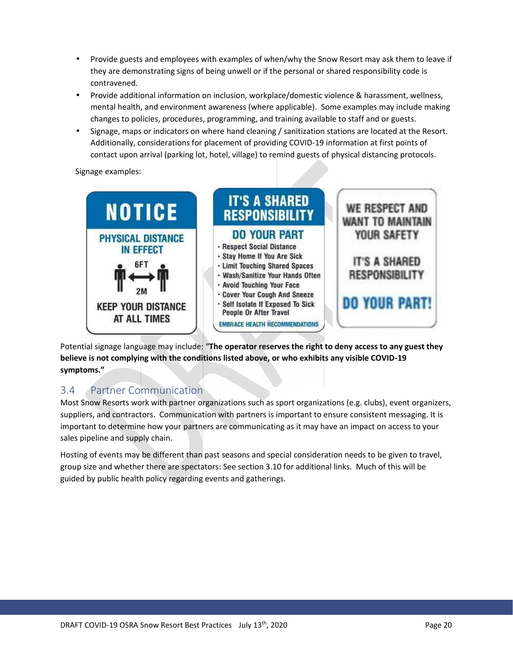- Provide guests and employees with examples of when/why the Snow Resort may ask them to leave if they are demonstrating signs of being unwell or if the personal or shared responsibility code is contravened.
- Provide additional information on inclusion, workplace/domestic violence & harassment, wellness, mental health, and environment awareness (where applicable). Some examples may include making changes to policies, procedures, programming, and training available to staff and or guests.
- Signage, maps or indicators on where hand cleaning /sanitization stations are located at the Resort. Additionally, considerations for placement of providing COVID-19 information at first points of contact upon arrival (parking lot, hotel, village) to remind guests of physical distancing protocols.

Signage examples:



Potential signage language may include: "**The operator reserves the right to deny access to any guest they believe is not complying with the conditions listed above, or who exhibits any visible COVID-19 symptoms."**

#### 3.4 Partner Communication

Most Snow Resorts work with partner organizations such as sport organizations (e.g. clubs), event organizers, suppliers, and contractors. Communication with partners is important to ensure consistent messaging. It is important to determine how your partners are communicating as it may have an impact on access to your sales pipeline and supply chain.

Hosting of events may be different than past seasons and special consideration needs to be given to travel, group size and whether there are spectators: See section 3.10 for additional links. Much of this will be guided by public health policy regarding events and gatherings.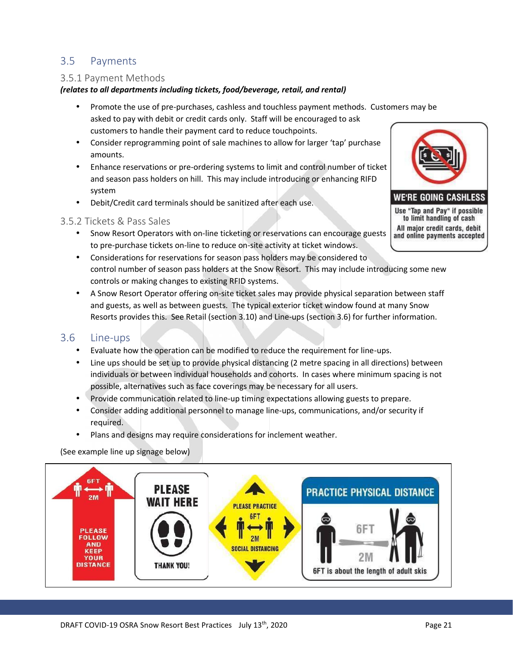#### 3.5 Payments

#### 3.5.1 Payment Methods

#### *(relates to all departments including tickets, food/beverage, retail, and rental)*

- Promote the use of pre-purchases, cashless and touchless payment methods. Customers may be asked to pay with debit or credit cards only. Staff will be encouraged to ask customers to handle their payment card to reduce touchpoints.
- Consider reprogramming point of sale machines to allow for larger 'tap' purchase amounts.
- Enhance reservations or pre-ordering systems to limit and control number of ticket and season pass holders on hill. This may include introducing or enhancing RIFD system
- Debit/Credit card terminals should be sanitized after each use.

#### 3.5.2 Tickets & Pass Sales

- $\int$  Snow Resort Operators with on-line ticketing or reservations can encourage guests and online payments accepted to pre-purchase tickets on-line to reduce on-site activity at ticket windows.
- Considerations for reservations for season pass holders may be considered to control number of season pass holders at the Snow Resort. This may include introducing some new controls or making changes to existing RFID systems.
- A Snow Resort Operator offering on-site ticket sales may provide physical separation between staff and guests, as well as between guests. The typical exterior ticket window found at many Snow Resorts provides this. See Retail (section 3.10) and Line-ups (section 3.6) for further information.

#### 3.6 Line-ups

- Evaluate how the operation can be modified to reduce the requirement for line-ups.
- Line ups should be set up to provide physical distancing (2 metre spacing in all directions) between individuals or between individual households and cohorts. In cases where minimum spacing is not possible, alternatives such as face coverings may be necessary for all users.
- Provide communication related to line-up timing expectations allowing guests to prepare.
- Consider adding additional personnel to manage line-ups, communications, and/or security if required.
- Plans and designs may require considerations for inclement weather.

(See example line up signage below)



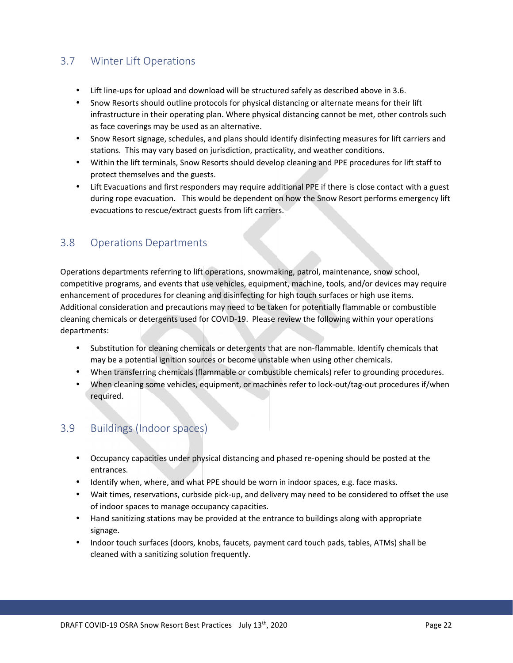#### 3.7 Winter Lift Operations

- Lift line-ups for upload and download will be structured safely as described above in 3.6.
- Snow Resorts should outline protocols for physical distancing or alternate means for their lift infrastructure in their operating plan. Where physical distancing cannot be met, other controls such as face coverings may be used as an alternative.
- Snow Resort signage, schedules, and plans should identify disinfecting measures for lift carriers and stations. This may vary based on jurisdiction, practicality, and weather conditions.
- Within the lift terminals, Snow Resorts should develop cleaning and PPE procedures for lift staff to protect themselves and the guests.
- Lift Evacuations and first responders may require additional PPE if there is close contact with a guest during rope evacuation. This would be dependent on how the Snow Resort performs emergency lift evacuations to rescue/extract guests from lift carriers.

#### 3.8 Operations Departments

Operations departments referring to lift operations, snowmaking, patrol, maintenance, snow school, competitive programs, and events that use vehicles, equipment, machine, tools, and/or devices may require enhancement of procedures for cleaning and disinfecting for high touch surfaces or high use items. Additional consideration and precautions may need to be taken for potentially flammable or combustible cleaning chemicals or detergents used for COVID-19. Please review the following within your operations departments:

- Substitution for cleaning chemicals or detergents that are non-flammable. Identify chemicals that may be a potential ignition sources or become unstable when using other chemicals.
- When transferring chemicals (flammable or combustible chemicals) refer to grounding procedures.
- When cleaning some vehicles, equipment, or machines refer to lock-out/tag-out procedures if/when required.

#### 3.9 Buildings (Indoor spaces)

- Occupancy capacities under physical distancing and phased re-opening should be posted at the entrances.
- I dentify when, where, and what PPE should be worn in indoor spaces, e.g. face masks.
- Wait times, reservations, curbside pick-up, and delivery may need to be considered to offset the use of indoor spaces to manage occupancy capacities.
- Hand sanitizing stations may be provided at the entrance to buildings along with appropriate signage.
- Indoor touch surfaces (doors, knobs, faucets, payment card touch pads, tables, ATMs) shall be cleaned with a sanitizing solution frequently.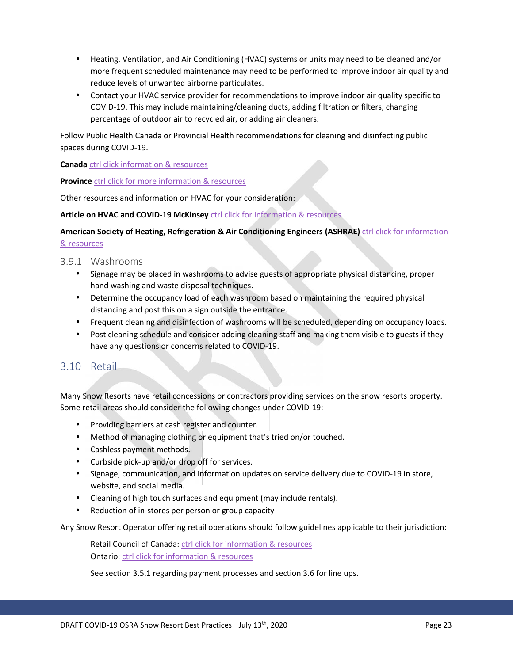- Heating, Ventilation, and Air Conditioning (HVAC) systems or units may need to be cleaned and/or more frequent scheduled maintenance may need to be performed to improve indoor air quality and reduce levels of unwanted airborne particulates.
- Contact your HVAC service provider for recommendations to improve indoor air quality specific to COVID-19. This may include maintaining/cleaning ducts, adding filtration or filters, changing percentage of outdoor air to recycled air, or adding air cleaners.

Follow Public Health Canada or Provincial Health recommendations for cleaning and disinfecting public spaces during COVID-19.

**Canada** ctrl click information & resources

**Province** ctrl click for more information & resources

Other resources and information on HVAC for your consideration:

**Article on HVAC and COVID-19 McKinsey** ctrl click for information & resources

#### **American Society of Heating, Refrigeration & Air Conditioning Engineers (ASHRAE)** ctrl click for information & resources

#### 3.9.1 Washrooms

- Signage may be placed in washrooms to advise guests of appropriate physical distancing, proper hand washing and waste disposal techniques.
- Determine the occupancy load of each washroom based on maintaining the required physical distancing and post this on a sign outside the entrance.
- Frequent cleaning and disinfection of washrooms will be scheduled, depending on occupancy loads.
- Post cleaning schedule and consider adding cleaning staff and making them visible to guests if they have any questions or concerns related to COVID-19.

#### 3.10 Retail

Many Snow Resorts have retail concessions or contractors providing services on the snow resorts property. Some retail areas should consider the following changes under COVID-19:

- Providing barriers at cash register and counter.
- Method of managing clothing or equipment that's tried on/or touched.
- Cashless payment methods.
- Curbside pick-up and/or drop off for services.
- Signage, communication, and information updates on service delivery due to COVID-19 in store, website, and social media.
- Cleaning of high touch surfaces and equipment (may include rentals).
- Reduction of in-stores per person or group capacity

Any Snow Resort Operator offering retail operations should follow guidelines applicable to their jurisdiction:

Retail Council of Canada: ctrl click for information & resources Ontario: ctrl click for information & resources

See section 3.5.1 regarding payment processes and section 3.6 for line ups.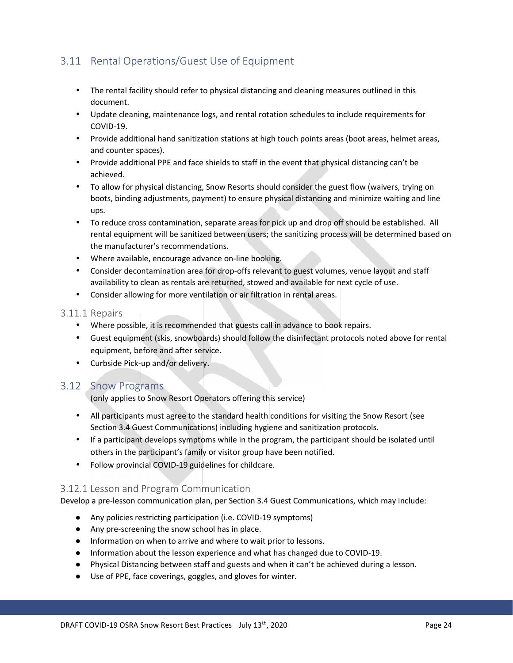#### 3.11 Rental Operations/Guest Use of Equipment

- The rental facility should refer to physical distancing and cleaning measures outlined in this document.
- Update cleaning, maintenance logs, and rental rotation schedules to include requirements for COVID-19.
- Provide additional hand sanitization stations at high touch points areas (boot areas, helmet areas, and counter spaces).
- Provide additional PPE and face shields to staff in the event that physical distancing can't be achieved.
- To allow for physical distancing, Snow Resorts should consider the guest flow (waivers, trying on boots, binding adjustments, payment) to ensure physical distancing and minimize waiting and line ups.
- To reduce cross contamination, separate areas for pick up and drop off should be established. All rental equipment will be sanitized between users; the sanitizing process will be determined based on the manufacturer's recommendations.
- Where available, encourage advance on-line booking.
- Consider decontamination area for drop-offs relevant to guest volumes, venue layout and staff availability to clean as rentals are returned, stowed and available for next cycle of use.
- Consider allowing for more ventilation or air filtration in rental areas.

#### 3.11.1 Repairs

- Where possible, it is recommended that guests call in advance to book repairs.
- Guest equipment (skis, snowboards) should follow the disinfectant protocols noted above for rental equipment, before and after service.
- Curbside Pick-up and/or delivery.

#### 3.12 Snow Programs

(only applies to Snow Resort Operators offering this service)

- All participants must agree to the standard health conditions for visiting the Snow Resort (see Section 3.4 Guest Communications) including hygiene and sanitization protocols.
- If a participant develops symptoms while in the program, the participant should be isolated until others in the participant's family or visitor group have been notified.
- Follow provincial COVID-19 guidelines for childcare.

#### 3.12.1 Lesson and Program Communication

Develop a pre-lesson communication plan, per Section 3.4 Guest Communications, which may include:

Any policies restricting participation (i.e. COVID-19 symptoms) Any pre-screening the snow school has in place.

Information on when to arrive and where to wait prior to lessons.

Information about the lesson experience and what has changed due to COVID-19.

Physical Distancing between staff and guests and when it can't be achieved during a lesson.

Use of PPE, face coverings, goggles, and gloves for winter.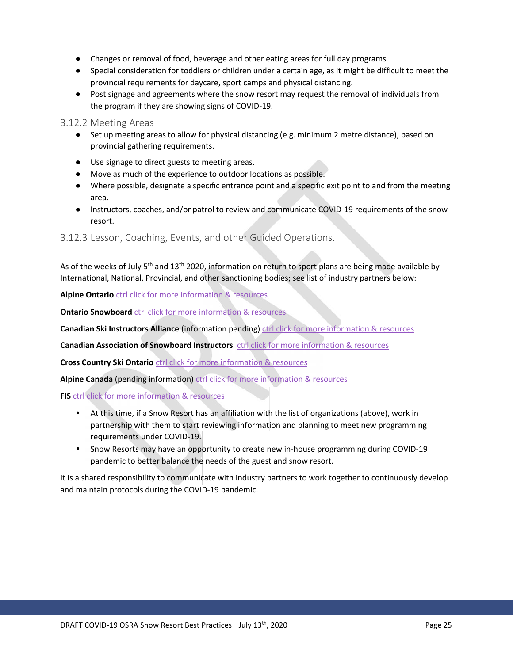Changes or removal of food, beverage and other eating areas for full day programs. Special consideration for toddlers or children under a certain age, as it might be difficult to meet the provincial requirements for daycare, sport camps and physical distancing. Post signage and agreements where the snow resort may request the removal of individuals from the program if they are showing signs of COVID-19.

#### 3.12.2 Meeting Areas

Set up meeting areas to allow for physical distancing (e.g. minimum 2 metre distance), based on provincial gathering requirements.

Use signage to direct guests to meeting areas.

Move as much of the experience to outdoor locations as possible.

Where possible, designate a specific entrance point and a specific exit point to and from the meeting area.

Instructors, coaches, and/or patrol to review and communicate COVID-19 requirements of the snow resort.

3.12.3 Lesson, Coaching, Events, and other Guided Operations.

As of the weeks of July 5<sup>th</sup> and 13<sup>th</sup> 2020, information on return to sport plans are being made available by International, National, Provincial, and other sanctioning bodies; see list of industry partners below:

**Alpine Ontario** ctrl click for more information & resources

**Ontario Snowboard** ctrl click for more information & resources

**Canadian Ski Instructors Alliance** (information pending) ctrl click for more information & resources

**Canadian Association of Snowboard Instructors** ctrl click for more information & resources

**Cross Country Ski Ontario** ctrl click for more information & resources

**Alpine Canada** (pending information) ctrl click for more information & resources

**FIS** ctrl click for more information & resources

- At this time, if a Snow Resort has an affiliation with the list of organizations (above), work in partnership with them to start reviewing information and planning to meet new programming requirements under COVID-19.
- Snow Resorts may have an opportunity to create new in-house programming during COVID-19 pandemic to better balance the needs of the guest and snow resort.

It is a shared responsibility to communicate with industry partners to work together to continuously develop and maintain protocols during the COVID-19 pandemic.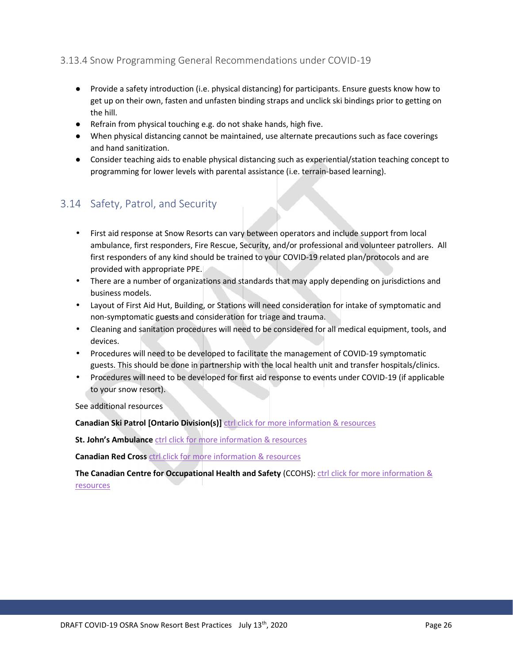#### 3.13.4 Snow Programming General Recommendations under COVID-19

Provide a safety introduction (i.e. physical distancing) for participants. Ensure guests know how to get up on their own, fasten and unfasten binding straps and unclick ski bindings prior to getting on the hill.

Refrain from physical touching e.g. do not shake hands, high five.

When physical distancing cannot be maintained, use alternate precautions such as face coverings and hand sanitization.

Consider teaching aids to enable physical distancing such as experiential/station teaching concept to programming for lower levels with parental assistance (i.e. terrain-based learning).

#### 3.14 Safety, Patrol, and Security

- First aid response at Snow Resorts can vary between operators and include support from local ambulance, first responders, Fire Rescue, Security, and/or professional and volunteer patrollers. All first responders of any kind should be trained to your COVID-19 related plan/protocols and are provided with appropriate PPE.
- There are a number of organizations and standards that may apply depending on jurisdictions and business models.
- Layout of First Aid Hut, Building, or Stations will need consideration for intake of symptomatic and non-symptomatic guests and consideration for triage and trauma.
- Cleaning and sanitation procedures will need to be considered for all medical equipment, tools, and devices.
- Procedures will need to be developed to facilitate the management of COVID-19 symptomatic guests. This should be done in partnership with the local health unit and transfer hospitals/clinics.
- Procedures will need to be developed for first aid response to events under COVID-19 (if applicable to your snow resort).

See additional resources

**Canadian Ski Patrol [Ontario Division(s)]** ctrl click for more information & resources

**St. John's Ambulance** ctrl click for more information & resources

**Canadian Red Cross** ctrl click for more information & resources

**The Canadian Centre for Occupational Health and Safety** (CCOHS): ctrl click for more information & resources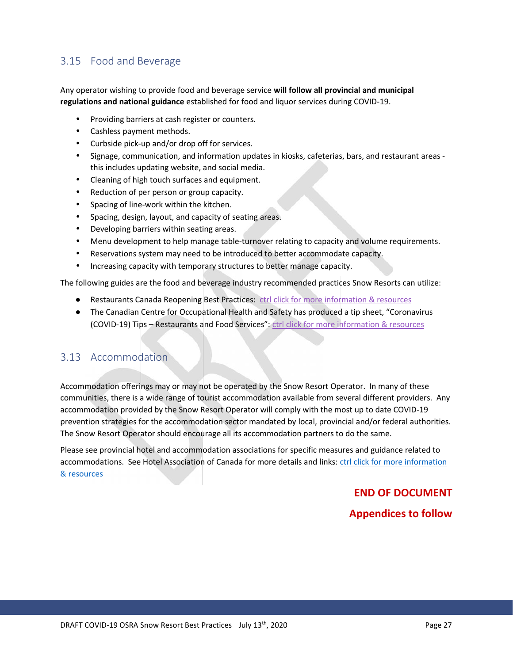#### 3.15 Food and Beverage

Any operator wishing to provide food and beverage service **will follow all provincial and municipal regulations and national guidance** established for food and liquor services during COVID-19.

- Providing barriers at cash register or counters.
- Cashless payment methods.
- Curbside pick-up and/or drop off for services.
- Signage, communication, and information updates in kiosks, cafeterias, bars, and restaurant areas this includes updating website, and social media.
- Cleaning of high touch surfaces and equipment.
- Reduction of per person or group capacity.
- Spacing of line-work within the kitchen.
- Spacing, design, layout, and capacity of seating areas.
- Developing barriers within seating areas.
	- Menu development to help manage table-turnover relating to capacity and volume requirements.
- Reservations system may need to be introduced to better accommodate capacity.
- Increasing capacity with temporary structures to better manage capacity.

The following guides are the food and beverage industry recommended practices Snow Resorts can utilize:

Restaurants Canada Reopening Best Practices: ctrl click for more information & resources The Canadian Centre for Occupational Health and Safety has produced a tip sheet, "Coronavirus (COVID-19) Tips – Restaurants and Food Services": ctrl click for more information & resources

#### 3.13 Accommodation

Accommodation offerings may or may not be operated by the Snow Resort Operator. In many of these communities, there is a wide range of tourist accommodation available from several different providers. Any accommodation provided by the Snow Resort Operator will comply with the most up to date COVID-19 prevention strategies for the accommodation sector mandated by local, provincial and/or federal authorities. The Snow Resort Operator should encourage all its accommodation partners to do the same.

Please see provincial hotel and accommodation associations for specific measures and guidance related to accommodations. See Hotel Association of Canada for more details and links: ctrl click for more information & resources

#### **END OF DOCUMENT**

#### **Appendices to follow**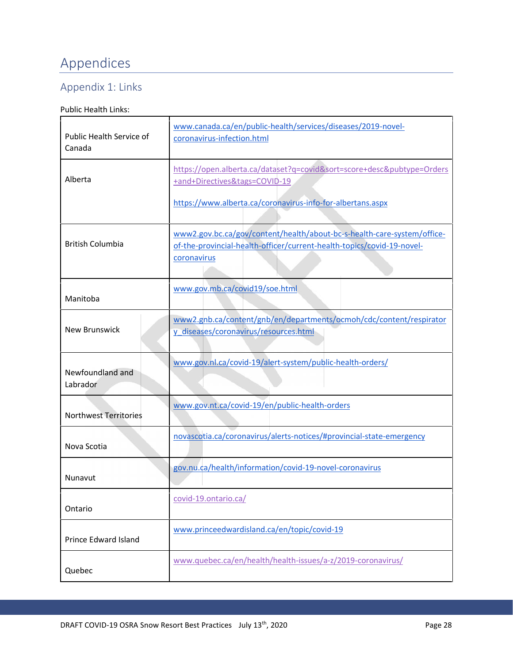# Appendices

## Appendix 1: Links

#### Public Health Links:

| Public Health Service of<br>Canada | www.canada.ca/en/public-health/services/diseases/2019-novel-<br>coronavirus-infection.html                                                                       |
|------------------------------------|------------------------------------------------------------------------------------------------------------------------------------------------------------------|
| Alberta                            | https://open.alberta.ca/dataset?q=covid&sort=score+desc&pubtype=Orders<br>+and+Directives&tags=COVID-19                                                          |
|                                    | https://www.alberta.ca/coronavirus-info-for-albertans.aspx                                                                                                       |
| <b>British Columbia</b>            | www2.gov.bc.ca/gov/content/health/about-bc-s-health-care-system/office-<br>of-the-provincial-health-officer/current-health-topics/covid-19-novel-<br>coronavirus |
| Manitoba                           | www.gov.mb.ca/covid19/soe.html                                                                                                                                   |
| New Brunswick                      | www2.gnb.ca/content/gnb/en/departments/ocmoh/cdc/content/respirator<br>y diseases/coronavirus/resources.html                                                     |
| Newfoundland and<br>Labrador       | www.gov.nl.ca/covid-19/alert-system/public-health-orders/                                                                                                        |
| <b>Northwest Territories</b>       | www.gov.nt.ca/covid-19/en/public-health-orders                                                                                                                   |
| Nova Scotia                        | novascotia.ca/coronavirus/alerts-notices/#provincial-state-emergency                                                                                             |
| Nunavut                            | gov.nu.ca/health/information/covid-19-novel-coronavirus                                                                                                          |
| Ontario                            | covid-19.ontario.ca/                                                                                                                                             |
| Prince Edward Island               | www.princeedwardisland.ca/en/topic/covid-19                                                                                                                      |
| Quebec                             | www.quebec.ca/en/health/health-issues/a-z/2019-coronavirus/                                                                                                      |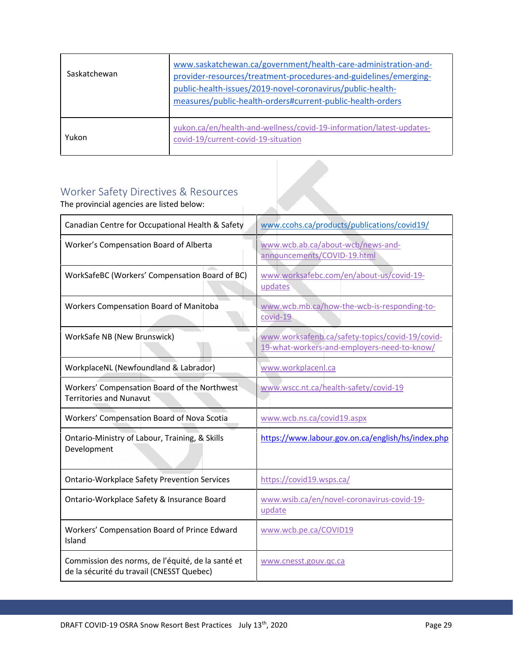| Saskatchewan | www.saskatchewan.ca/government/health-care-administration-and-<br>provider-resources/treatment-procedures-and-guidelines/emerging-<br>public-health-issues/2019-novel-coronavirus/public-health-<br>measures/public-health-orders#current-public-health-orders |
|--------------|----------------------------------------------------------------------------------------------------------------------------------------------------------------------------------------------------------------------------------------------------------------|
| Yukon        | yukon.ca/en/health-and-wellness/covid-19-information/latest-updates-<br>covid-19/current-covid-19-situation                                                                                                                                                    |

## Worker Safety Directives & Resources

The provincial agencies are listed below:

| Canadian Centre for Occupational Health & Safety                                               | www.ccohs.ca/products/publications/covid19/                                                    |
|------------------------------------------------------------------------------------------------|------------------------------------------------------------------------------------------------|
| Worker's Compensation Board of Alberta                                                         | www.wcb.ab.ca/about-wcb/news-and-<br>announcements/COVID-19.html                               |
| WorkSafeBC (Workers' Compensation Board of BC)                                                 | www.worksafebc.com/en/about-us/covid-19-<br>updates                                            |
| Workers Compensation Board of Manitoba                                                         | www.wcb.mb.ca/how-the-wcb-is-responding-to-<br>covid-19                                        |
| WorkSafe NB (New Brunswick)                                                                    | www.worksafenb.ca/safety-topics/covid-19/covid-<br>19-what-workers-and-employers-need-to-know/ |
| WorkplaceNL (Newfoundland & Labrador)                                                          | www.workplacenl.ca                                                                             |
| Workers' Compensation Board of the Northwest<br><b>Territories and Nunavut</b>                 | www.wscc.nt.ca/health-safety/covid-19                                                          |
| Workers' Compensation Board of Nova Scotia                                                     | www.wcb.ns.ca/covid19.aspx                                                                     |
| Ontario-Ministry of Labour, Training, & Skills<br>Development                                  | https://www.labour.gov.on.ca/english/hs/index.php                                              |
| <b>Ontario-Workplace Safety Prevention Services</b>                                            | https://covid19.wsps.ca/                                                                       |
| Ontario-Workplace Safety & Insurance Board                                                     | www.wsib.ca/en/novel-coronavirus-covid-19-<br>update                                           |
| Workers' Compensation Board of Prince Edward<br>Island                                         | www.wcb.pe.ca/COVID19                                                                          |
| Commission des norms, de l'équité, de la santé et<br>de la sécurité du travail (CNESST Quebec) | www.cnesst.gouv.qc.ca                                                                          |